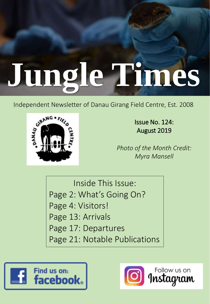# **Jungle Times**

Independent Newsletter of Danau Girang Field Centre, Est. 2008



Issue No. 124: August 2019

*Photo of the Month Credit: Myra Mansell*

Inside This Issue: Page 2: What's Going On? Page 4: Visitors! Page 13: Arrivals Page 17: Departures Page 21: Notable Publications



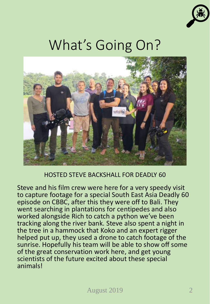

### What's Going On?



#### HOSTED STEVE BACKSHALL FOR DEADLY 60

Steve and his film crew were here for a very speedy visit to capture footage for a special South East Asia Deadly 60 episode on CBBC, after this they were off to Bali. They went searching in plantations for centipedes and also worked alongside Rich to catch a python we've been tracking along the river bank. Steve also spent a night in the tree in a hammock that Koko and an expert rigger helped put up, they used a drone to catch footage of the sunrise. Hopefully his team will be able to show off some of the great conservation work here, and get young scientists of the future excited about these special animals!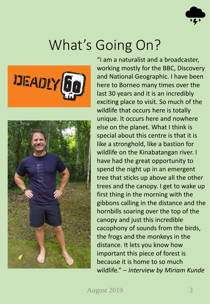

### What's Going On?





"I am a naturalist and a broadcaster, working mostly for the BBC, Discovery and National Geographic. I have been here to Borneo many times over the last 30 years and it is an incredibly exciting place to visit. So much of the wildlife that occurs here is totally unique. It occurs here and nowhere else on the planet. What I think is special about this centre is that it is like a stronghold, like a bastion for wildlife on the Kinabatangan river. I have had the great opportunity to spend the night up in an emergent tree that sticks up above all the other trees and the canopy. I get to wake up first thing in the morning with the gibbons calling in the distance and the hornbills soaring over the top of the canopy and just this incredible cacophony of sounds from the birds, the frogs and the monkeys in the distance. It lets you know how important this piece of forest is because it is home to so much wildlife." – *Interview by Miriam Kunde*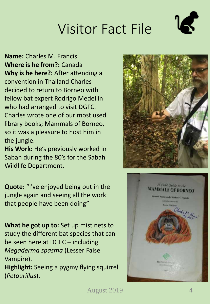**Name:** Charles M. Francis **Where is he from?:** Canada **Why is he here?:** After attending a convention in Thailand Charles decided to return to Borneo with fellow bat expert Rodrigo Medellin who had arranged to visit DGFC. Charles wrote one of our most used library books; Mammals of Borneo, so it was a pleasure to host him in the jungle.

**His Work:** He's previously worked in Sabah during the 80's for the Sabah Wildlife Department.

**Quote:** "I've enjoyed being out in the jungle again and seeing all the work that people have been doing"

**What he got up to:** Set up mist nets to study the different bat species that can be seen here at DGFC – including *Megaderma spasma* (Lesser False Vampire).

**Highlight:** Seeing a pygmy flying squirrel (*Petaurillus*).



A Field Guide to the **MAMMALS OF BORNEO** If Payse and Charles M. For **Community** Charlott

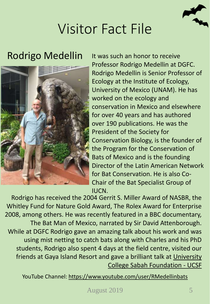

#### Rodrigo Medellin



It was such an honor to receive Professor Rodrigo Medellin at DGFC. Rodrigo Medellin is Senior Professor of Ecology at the Institute of Ecology, University of Mexico (UNAM). He has worked on the ecology and conservation in Mexico and elsewhere for over 40 years and has authored over 190 publications. He was the President of the Society for Conservation Biology, is the founder of the Program for the Conservation of Bats of Mexico and is the founding Director of the Latin American Network for Bat Conservation. He is also Co-Chair of the Bat Specialist Group of IUCN.

Rodrigo has received the 2004 Gerrit S. Miller Award of NASBR, the Whitley Fund for Nature Gold Award, The Rolex Award for Enterprise 2008, among others. He was recently featured in a BBC documentary, The Bat Man of Mexico, narrated by Sir David Attenborough. While at DGFC Rodrigo gave an amazing talk about his work and was using mist netting to catch bats along with Charles and his PhD students, Rodrigo also spent 4 days at the field centre, visited our friends at Gaya Island Resort and gave a brilliant talk at University [College Sabah Foundation -](https://www.facebook.com/ucsfsabah/?__tn__=K-R&eid=ARBX7ARcjzf8-c12NPuiWzOGEKX7L0uEnCDkiUk4-WBa-RJrSB1Yr9k-e0k0ecvbmd13J42g7FuvUcGq&fref=mentions&__xts__%5B0%5D=68.ARBF_RsG3EPjqxhEslac4jwM9fxVkooVsnPHJ1vPh3chROhPfDT7qKbH7X_c038cd9MMwX-sHXLVDfJ4ksutYgKuHVt19yN1Y3GKxKnTbiTFA1YTYTrGpI6LJ9FtJxqlRzcqkoMezIfHlBRchhq949lmR3oQeJr3CjhDHtC4u3MQpgl8yanwerEPx_efh1O4UHRGk2gBtyTx2ZPNJTokrIJQyy2xP5OeHVV_wQv5dtbxSU4gYsb2s9wszD5kfbrHegy2T64MSCOp-ADaAeVr71N4w6Cns_AyTroewTK0ZxugM6wy7p5sEWtbTNpCzGP5DfuJKwVYAVxa73LZHptYVa4Dzw) UCSF

YouTube Channel:<https://www.youtube.com/user/RMedellinbats>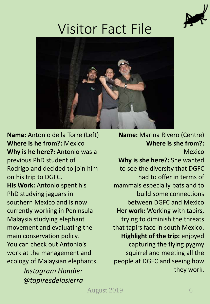



**Name:** Antonio de la Torre (Left) **Where is he from?:** Mexico **Why is he here?:** Antonio was a previous PhD student of Rodrigo and decided to join him on his trip to DGFC. **His Work:** Antonio spent his PhD studying jaguars in southern Mexico and is now currently working in Peninsula Malaysia studying elephant movement and evaluating the main conservation policy. You can check out Antonio's work at the management and ecology of Malaysian elephants.

*@tapiresdelasierra*

**Name:** Marina Rivero (Centre) **Where is she from?:** Mexico

**Why is she here?:** She wanted to see the diversity that DGFC had to offer in terms of mammals especially bats and to build some connections between DGFC and Mexico **Her work:** Working with tapirs, trying to diminish the threats that tapirs face in south Mexico. **Highlight of the trip:** enjoyed capturing the flying pygmy squirrel and meeting all the people at DGFC and seeing how they work. *Instagram Handle:*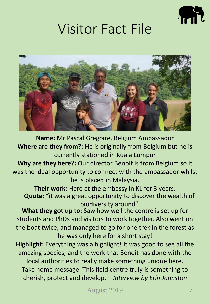



**Name:** Mr Pascal Gregoire, Belgium Ambassador **Where are they from?:** He is originally from Belgium but he is currently stationed in Kuala Lumpur

**Why are they here?:** Our director Benoit is from Belgium so it was the ideal opportunity to connect with the ambassador whilst he is placed in Malaysia.

**Their work:** Here at the embassy in KL for 3 years. **Quote:** "it was a great opportunity to discover the wealth of biodiversity around"

**What they got up to:** Saw how well the centre is set up for students and PhDs and visitors to work together. Also went on the boat twice, and managed to go for one trek in the forest as he was only here for a short stay!

**Highlight:** Everything was a highlight! It was good to see all the amazing species, and the work that Benoit has done with the local authorities to really make something unique here. Take home message: This field centre truly is something to cherish, protect and develop. – *Interview by Erin Johnston*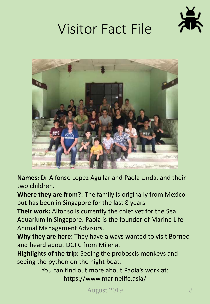



**Names:** Dr Alfonso Lopez Aguilar and Paola Unda, and their two children.

**Where they are from?:** The family is originally from Mexico but has been in Singapore for the last 8 years.

**Their work:** Alfonso is currently the chief vet for the Sea Aquarium in Singapore. Paola is the founder of Marine Life Animal Management Advisors.

**Why they are here:** They have always wanted to visit Borneo and heard about DGFC from Milena.

**Highlights of the trip:** Seeing the proboscis monkeys and seeing the python on the night boat.

> You can find out more about Paola's work at: <https://www.marinelife.asia/>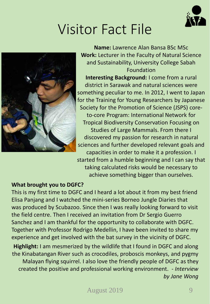



**Name:** Lawrence Alan Bansa BSc MSc **Work:** Lecturer in the Faculty of Natural Science and Sustainability, University College Sabah Foundation

**Interesting Background:** I come from a rural district in Sarawak and natural sciences were something peculiar to me. In 2012, I went to Japan for the Training for Young Researchers by Japanese Society for the Promotion of Science (JSPS) coreto-core Program: International Network for Tropical Biodiversity Conservation Focusing on Studies of Large Mammals. From there I discovered my passion for research in natural sciences and further developed relevant goals and capacities in order to make it a profession. I started from a humble beginning and I can say that taking calculated risks would be necessary to achieve something bigger than ourselves.

#### **What brought you to DGFC?**

This is my first time to DGFC and I heard a lot about it from my best friend Elisa Panjang and I watched the mini-series Borneo Jungle Diaries that was produced by Scubazoo. Since then I was really looking forward to visit the field centre. Then I received an invitation from Dr Sergio Guerro Sanchez and I am thankful for the opportunity to collaborate with DGFC. Together with Professor Rodrigo Medellin, I have been invited to share my experience and get involved with the bat survey in the vicinity of DGFC.

**Highlight:** I am mesmerized by the wildlife that I found in DGFC and along the Kinabatangan River such as crocodiles, proboscis monkeys, and pygmy Malayan flying squirrel. I also love the friendly people of DGFC as they created the positive and professional working environment. - *Interview by Jane Wong*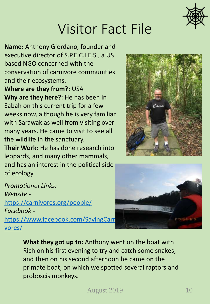

**Name:** Anthony Giordano, founder and executive director of S.P.E.C.I.E.S., a US based NGO concerned with the conservation of carnivore communities and their ecosystems.

**Where are they from?:** USA **Why are they here?:** He has been in Sabah on this current trip for a few weeks now, although he is very familiar with Sarawak as well from visiting over many years. He came to visit to see all the wildlife in the sanctuary.

**Their Work:** He has done research into leopards, and many other mammals, and has an interest in the political side of ecology.

*Promotional Links: Website*  <https://carnivores.org/people/> *Facebook*  https://www.facebook.com/SavingCarn vores/





**What they got up to:** Anthony went on the boat with Rich on his first evening to try and catch some snakes, and then on his second afternoon he came on the primate boat, on which we spotted several raptors and proboscis monkeys.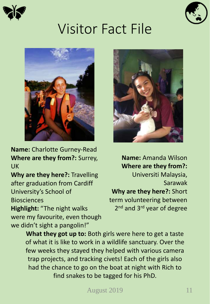





**Name:** Charlotte Gurney-Read **Where are they from?:** Surrey, UK

**Why are they here?:** Travelling after graduation from Cardiff University's School of **Biosciences** 

**Highlight:** "The night walks were my favourite, even though we didn't sight a pangolin!"



**Name:** Amanda Wilson **Where are they from?:**  Universiti Malaysia, Sarawak **Why are they here?:** Short term volunteering between 2<sup>nd</sup> and 3<sup>rd</sup> year of degree

**What they got up to:** Both girls were here to get a taste of what it is like to work in a wildlife sanctuary. Over the few weeks they stayed they helped with various camera trap projects, and tracking civets! Each of the girls also had the chance to go on the boat at night with Rich to find snakes to be tagged for his PhD.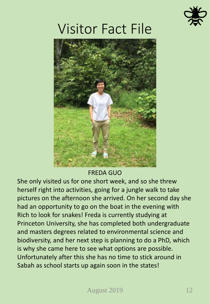



#### FREDA GUO

She only visited us for one short week, and so she threw herself right into activities, going for a jungle walk to take pictures on the afternoon she arrived. On her second day she had an opportunity to go on the boat in the evening with Rich to look for snakes! Freda is currently studying at Princeton University, she has completed both undergraduate and masters degrees related to environmental science and biodiversity, and her next step is planning to do a PhD, which is why she came here to see what options are possible. Unfortunately after this she has no time to stick around in Sabah as school starts up again soon in the states!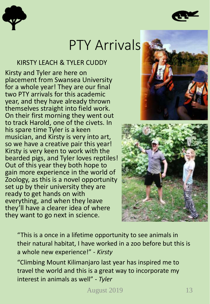



#### PTY Arrivals

#### KIRSTY LEACH & TYLER CUDDY

Kirsty and Tyler are here on placement from Swansea University for a whole year! They are our final two PTY arrivals for this academic year, and they have already thrown themselves straight into field work. On their first morning they went out to track Harold, one of the civets. In his spare time Tyler is a keen musician, and Kirsty is very into art, so we have a creative pair this year! Kirsty is very keen to work with the bearded pigs, and Tyler loves reptiles! Out of this year they both hope to gain more experience in the world of Zoology, as this is a novel opportunity set up by their university they are ready to get hands on with everything, and when they leave they'll have a clearer idea of where they want to go next in science.





"This is a once in a lifetime opportunity to see animals in their natural habitat, I have worked in a zoo before but this is a whole new experience!" - *Kirsty*

"Climbing Mount Kilimanjaro last year has inspired me to travel the world and this is a great way to incorporate my interest in animals as well" - *Tyler*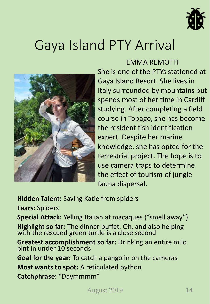

### Gaya Island PTY Arrival



#### EMMA REMOTTI

She is one of the PTYs stationed at Gaya Island Resort. She lives in Italy surrounded by mountains but spends most of her time in Cardiff studying. After completing a field course in Tobago, she has become the resident fish identification expert. Despite her marine knowledge, she has opted for the terrestrial project. The hope is to use camera traps to determine the effect of tourism of jungle fauna dispersal.

**Hidden Talent:** Saving Katie from spiders

**Fears:** Spiders

**Special Attack:** Yelling Italian at macaques ("smell away") **Highlight so far:** The dinner buffet. Oh, and also helping with the rescued green turtle is a close second

**Greatest accomplishment so far:** Drinking an entire milo pint in under 10 seconds

**Goal for the year:** To catch a pangolin on the cameras **Most wants to spot:** A reticulated python **Catchphrase:** "Daymmmm"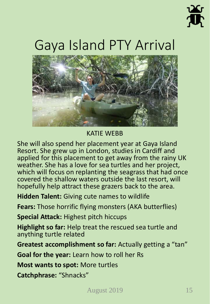

## Gaya Island PTY Arrival



#### KATIE WEBB

She will also spend her placement year at Gaya Island Resort. She grew up in London, studies in Cardiff and applied for this placement to get away from the rainy UK weather. She has a love for sea turtles and her project, which will focus on replanting the seagrass that had once covered the shallow waters outside the last resort, will hopefully help attract these grazers back to the area.

**Hidden Talent:** Giving cute names to wildlife

**Fears:** Those horrific flying monsters (AKA butterflies)

**Special Attack:** Highest pitch hiccups

**Highlight so far:** Help treat the rescued sea turtle and anything turtle related

**Greatest accomplishment so far:** Actually getting a "tan"

**Goal for the year:** Learn how to roll her Rs

**Most wants to spot:** More turtles

**Catchphrase:** "Shnacks"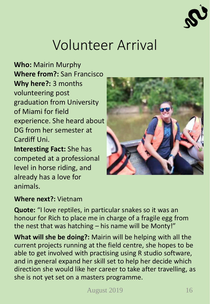

## Volunteer Arrival

**Who:** Mairin Murphy **Where from?:** San Francisco **Why here?:** 3 months volunteering post graduation from University of Miami for field experience. She heard about DG from her semester at Cardiff Uni. **Interesting Fact:** She has

competed at a professional level in horse riding, and already has a love for animals.



#### **Where next?:** Vietnam

**Quote:** "I love reptiles, in particular snakes so it was an honour for Rich to place me in charge of a fragile egg from the nest that was hatching – his name will be Monty!"

**What will she be doing?:** Mairin will be helping with all the current projects running at the field centre, she hopes to be able to get involved with practising using R studio software, and in general expand her skill set to help her decide which direction she would like her career to take after travelling, as she is not yet set on a masters programme.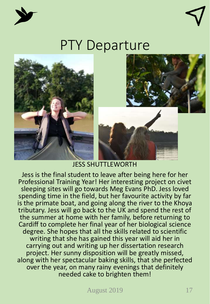



#### PTY Departure







#### JESS SHUTTLEWORTH

Jess is the final student to leave after being here for her Professional Training Year! Her interesting project on civet sleeping sites will go towards Meg Evans PhD. Jess loved spending time in the field, but her favourite activity by far is the primate boat, and going along the river to the Khoya tributary. Jess will go back to the UK and spend the rest of the summer at home with her family, before returning to Cardiff to complete her final year of her biological science degree. She hopes that all the skills related to scientific writing that she has gained this year will aid her in carrying out and writing up her dissertation research project. Her sunny disposition will be greatly missed, along with her spectacular baking skills, that she perfected over the year, on many rainy evenings that definitely needed cake to brighten them!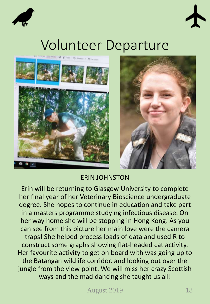



### Volunteer Departure





#### ERIN JOHNSTON

Erin will be returning to Glasgow University to complete her final year of her Veterinary Bioscience undergraduate degree. She hopes to continue in education and take part in a masters programme studying infectious disease. On her way home she will be stopping in Hong Kong. As you can see from this picture her main love were the camera traps! She helped process loads of data and used R to construct some graphs showing flat-headed cat activity. Her favourite activity to get on board with was going up to the Batangan wildlife corridor, and looking out over the jungle from the view point. We will miss her crazy Scottish ways and the mad dancing she taught us all!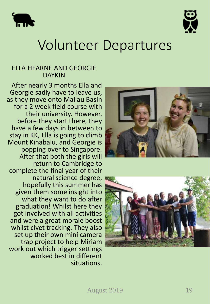



#### Volunteer Departures

#### ELLA HEARNE AND GEORGIE DAYKIN

After nearly 3 months Ella and Georgie sadly have to leave us, as they move onto Maliau Basin for a 2 week field course with their university. However, before they start there, they have a few days in between to stay in KK, Ella is going to climb Mount Kinabalu, and Georgie is popping over to Singapore. After that both the girls will return to Cambridge to complete the final year of their natural science degree, hopefully this summer has given them some insight into what they want to do after graduation! Whilst here they got involved with all activities and were a great morale boost whilst civet tracking. They also set up their own mini camera trap project to help Miriam work out which trigger settings worked best in different situations.

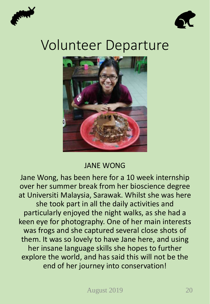



#### Volunteer Departure



#### JANE WONG

Jane Wong, has been here for a 10 week internship over her summer break from her bioscience degree at Universiti Malaysia, Sarawak. Whilst she was here she took part in all the daily activities and particularly enjoyed the night walks, as she had a keen eye for photography. One of her main interests was frogs and she captured several close shots of them. It was so lovely to have Jane here, and using her insane language skills she hopes to further explore the world, and has said this will not be the end of her journey into conservation!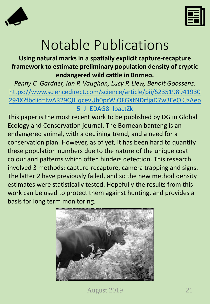



### Notable Publications

#### **Using natural marks in a spatially explicit capture-recapture framework to estimate preliminary population density of cryptic endangered wild cattle in Borneo.**

*Penny C. Gardner, Ian P. Vaughan, Lucy P. Liew, Benoit Goossens.* https://www.sciencedirect.com/science/article/pii/S235198941930 [294X?fbclid=IwAR29QIHqcevUh0prWjOFGXtNDrfjaD7w3EeOKJzAep](https://www.sciencedirect.com/science/article/pii/S235198941930294X?fbclid=IwAR29QIHqcevUh0prWjOFGXtNDrfjaD7w3EeOKJzAep5_J_EDAG8_lpactZk) 5\_J\_EDAG8\_lpactZk

This paper is the most recent work to be published by DG in Global Ecology and Conservation journal. The Bornean banteng is an endangered animal, with a declining trend, and a need for a conservation plan. However, as of yet, it has been hard to quantify these population numbers due to the nature of the unique coat colour and patterns which often hinders detection. This research involved 3 methods; capture-recapture, camera trapping and signs. The latter 2 have previously failed, and so the new method density estimates were statistically tested. Hopefully the results from this work can be used to protect them against hunting, and provides a basis for long term monitoring.